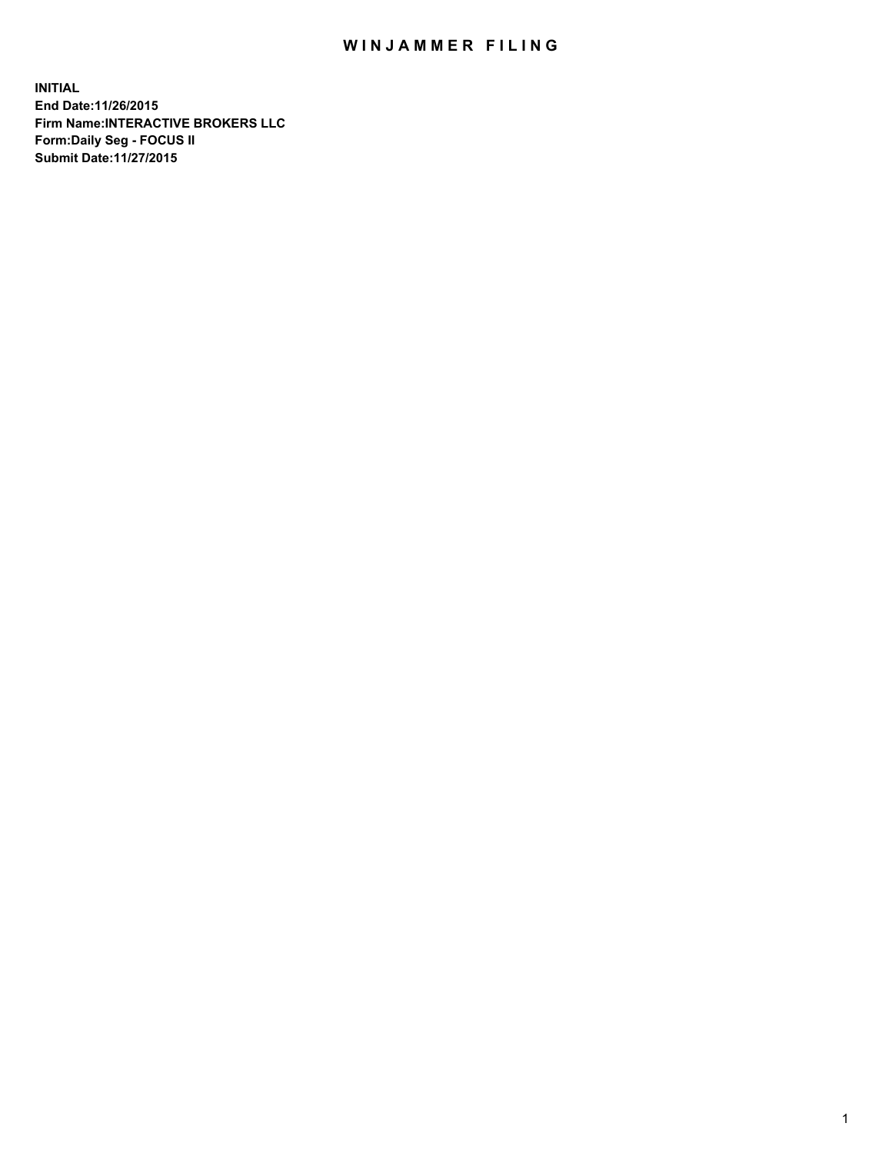## WIN JAMMER FILING

**INITIAL End Date:11/26/2015 Firm Name:INTERACTIVE BROKERS LLC Form:Daily Seg - FOCUS II Submit Date:11/27/2015**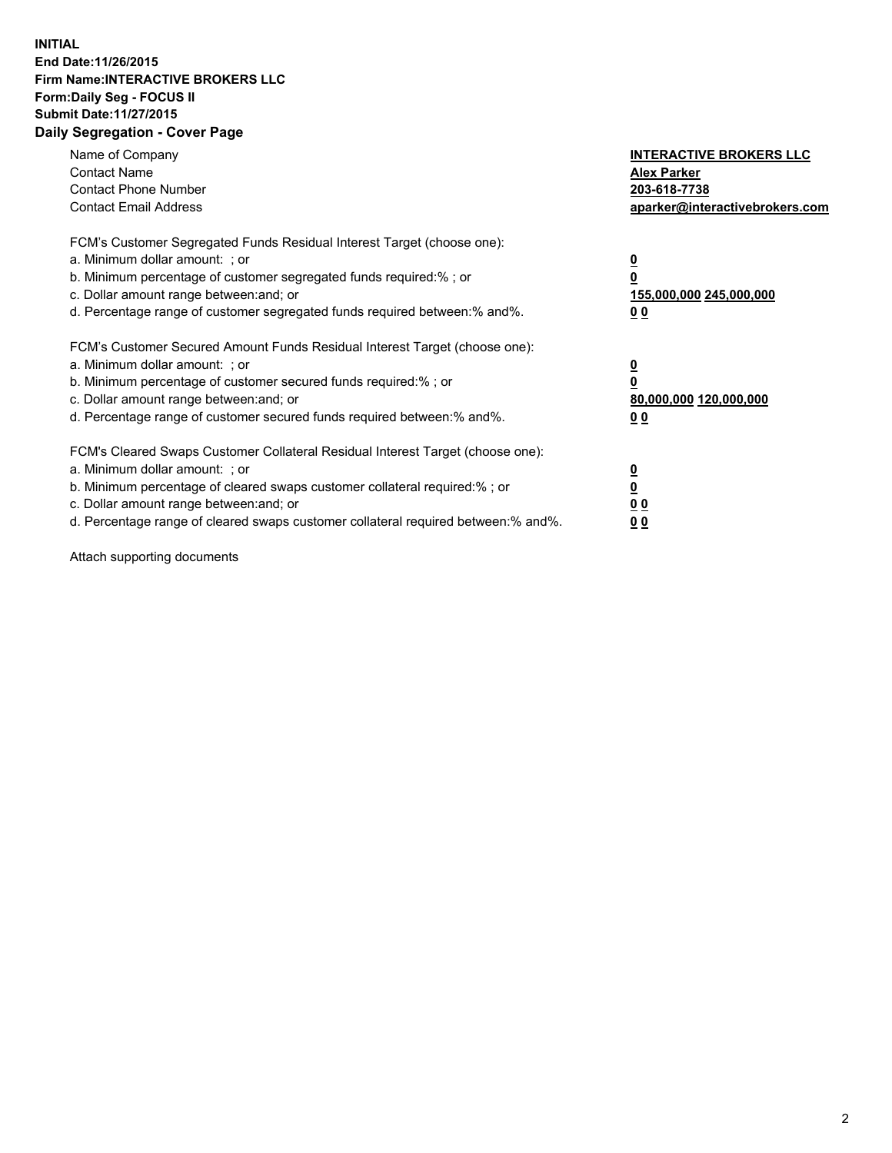## **INITIAL End Date:11/26/2015 Firm Name:INTERACTIVE BROKERS LLC Form:Daily Seg - FOCUS II Submit Date:11/27/2015 Daily Segregation - Cover Page**

| Name of Company<br><b>Contact Name</b><br><b>Contact Phone Number</b><br><b>Contact Email Address</b>                                                                                                                                                                                                                         | <b>INTERACTIVE BROKERS LLC</b><br><b>Alex Parker</b><br>203-618-7738<br>aparker@interactivebrokers.com |
|-------------------------------------------------------------------------------------------------------------------------------------------------------------------------------------------------------------------------------------------------------------------------------------------------------------------------------|--------------------------------------------------------------------------------------------------------|
| FCM's Customer Segregated Funds Residual Interest Target (choose one):<br>a. Minimum dollar amount: ; or<br>b. Minimum percentage of customer segregated funds required:% ; or<br>c. Dollar amount range between: and; or<br>d. Percentage range of customer segregated funds required between:% and%.                        | <u>0</u><br><u>155,000,000 245,000,000</u><br>00                                                       |
| FCM's Customer Secured Amount Funds Residual Interest Target (choose one):<br>a. Minimum dollar amount: ; or<br>b. Minimum percentage of customer secured funds required:% ; or<br>c. Dollar amount range between: and; or<br>d. Percentage range of customer secured funds required between: % and %.                        | $\overline{\mathbf{0}}$<br>80,000,000 120,000,000<br>00                                                |
| FCM's Cleared Swaps Customer Collateral Residual Interest Target (choose one):<br>a. Minimum dollar amount: ; or<br>b. Minimum percentage of cleared swaps customer collateral required:%; or<br>c. Dollar amount range between: and; or<br>d. Percentage range of cleared swaps customer collateral required between:% and%. | <u>0</u><br>0 <sub>0</sub><br><u>00</u>                                                                |

Attach supporting documents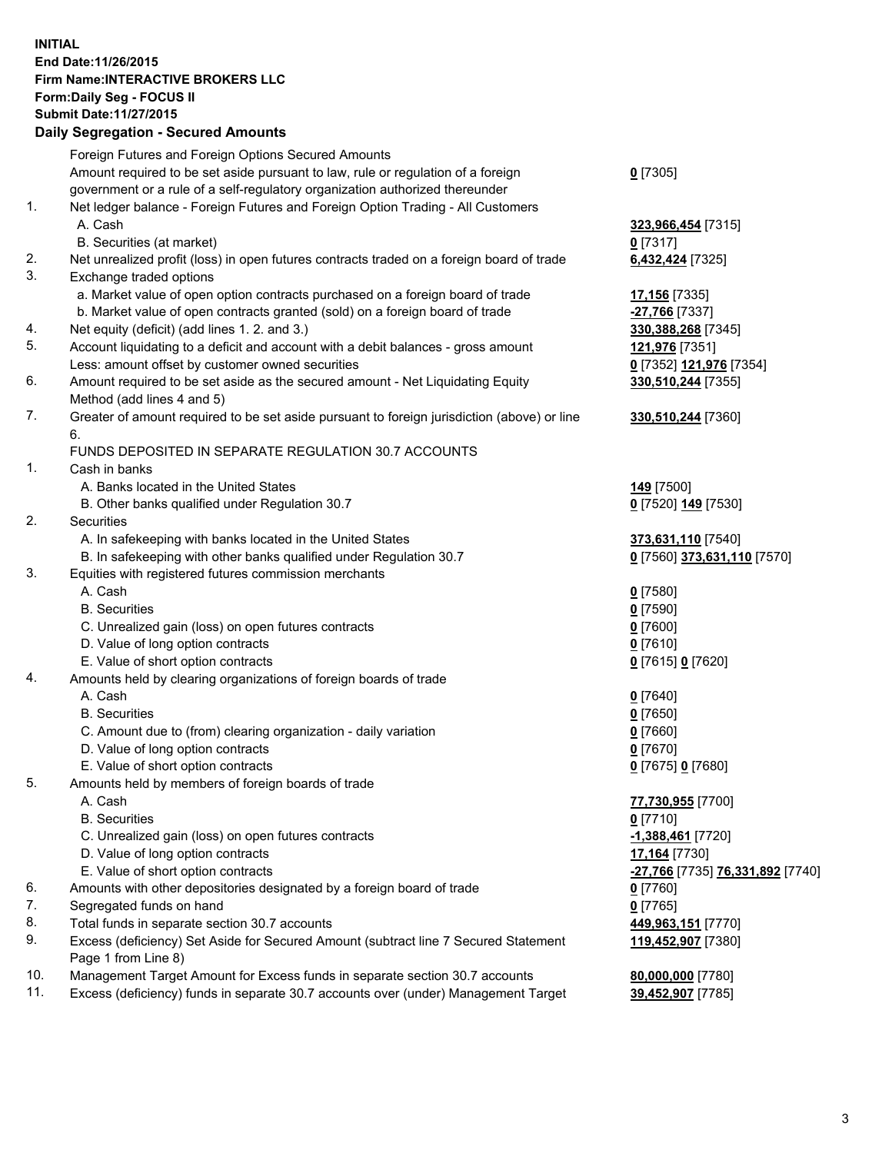## **INITIAL End Date:11/26/2015 Firm Name:INTERACTIVE BROKERS LLC Form:Daily Seg - FOCUS II Submit Date:11/27/2015 Daily Segregation - Secured Amounts**

|     | Foreign Futures and Foreign Options Secured Amounts                                                        |                                  |
|-----|------------------------------------------------------------------------------------------------------------|----------------------------------|
|     | Amount required to be set aside pursuant to law, rule or regulation of a foreign                           | $0$ [7305]                       |
|     | government or a rule of a self-regulatory organization authorized thereunder                               |                                  |
| 1.  | Net ledger balance - Foreign Futures and Foreign Option Trading - All Customers                            |                                  |
|     | A. Cash                                                                                                    | 323,966,454 [7315]               |
|     | B. Securities (at market)                                                                                  | $0$ [7317]                       |
| 2.  | Net unrealized profit (loss) in open futures contracts traded on a foreign board of trade                  | 6,432,424 [7325]                 |
| 3.  | Exchange traded options                                                                                    |                                  |
|     | a. Market value of open option contracts purchased on a foreign board of trade                             | 17,156 [7335]                    |
|     | b. Market value of open contracts granted (sold) on a foreign board of trade                               | -27,766 [7337]                   |
| 4.  | Net equity (deficit) (add lines 1. 2. and 3.)                                                              | 330, 388, 268 [7345]             |
| 5.  | Account liquidating to a deficit and account with a debit balances - gross amount                          | 121,976 [7351]                   |
|     | Less: amount offset by customer owned securities                                                           | 0 [7352] 121,976 [7354]          |
| 6.  | Amount required to be set aside as the secured amount - Net Liquidating Equity                             | 330,510,244 [7355]               |
|     | Method (add lines 4 and 5)                                                                                 |                                  |
| 7.  | Greater of amount required to be set aside pursuant to foreign jurisdiction (above) or line                | 330,510,244 [7360]               |
|     | 6.                                                                                                         |                                  |
|     | FUNDS DEPOSITED IN SEPARATE REGULATION 30.7 ACCOUNTS                                                       |                                  |
| 1.  | Cash in banks                                                                                              |                                  |
|     | A. Banks located in the United States                                                                      | 149 [7500]                       |
|     | B. Other banks qualified under Regulation 30.7                                                             | 0 [7520] 149 [7530]              |
| 2.  | Securities                                                                                                 |                                  |
|     | A. In safekeeping with banks located in the United States                                                  | 373,631,110 [7540]               |
|     | B. In safekeeping with other banks qualified under Regulation 30.7                                         | 0 [7560] 373,631,110 [7570]      |
| 3.  | Equities with registered futures commission merchants                                                      |                                  |
|     | A. Cash                                                                                                    | $0$ [7580]                       |
|     | <b>B.</b> Securities                                                                                       | $0$ [7590]                       |
|     | C. Unrealized gain (loss) on open futures contracts                                                        | $0$ [7600]                       |
|     | D. Value of long option contracts                                                                          | $0$ [7610]                       |
|     | E. Value of short option contracts                                                                         | 0 [7615] 0 [7620]                |
| 4.  | Amounts held by clearing organizations of foreign boards of trade                                          |                                  |
|     | A. Cash                                                                                                    | $0$ [7640]                       |
|     | <b>B.</b> Securities                                                                                       | $0$ [7650]                       |
|     | C. Amount due to (from) clearing organization - daily variation                                            | $0$ [7660]                       |
|     | D. Value of long option contracts                                                                          | $0$ [7670]                       |
|     | E. Value of short option contracts                                                                         | 0 [7675] 0 [7680]                |
| 5.  | Amounts held by members of foreign boards of trade                                                         |                                  |
|     | A. Cash                                                                                                    | 77,730,955 [7700]                |
|     | <b>B.</b> Securities                                                                                       | $0$ [7710]                       |
|     | C. Unrealized gain (loss) on open futures contracts                                                        | -1,388,461 [7720]                |
|     | D. Value of long option contracts                                                                          | 17,164 [7730]                    |
|     | E. Value of short option contracts                                                                         | -27,766 [7735] 76,331,892 [7740] |
| 6.  | Amounts with other depositories designated by a foreign board of trade                                     | 0 [7760]                         |
| 7.  | Segregated funds on hand                                                                                   | $0$ [7765]                       |
| 8.  | Total funds in separate section 30.7 accounts                                                              | 449,963,151 [7770]               |
| 9.  | Excess (deficiency) Set Aside for Secured Amount (subtract line 7 Secured Statement<br>Page 1 from Line 8) | 119,452,907 [7380]               |
| 10. | Management Target Amount for Excess funds in separate section 30.7 accounts                                | 80,000,000 [7780]                |
| 11. | Excess (deficiency) funds in separate 30.7 accounts over (under) Management Target                         | 39,452,907 [7785]                |
|     |                                                                                                            |                                  |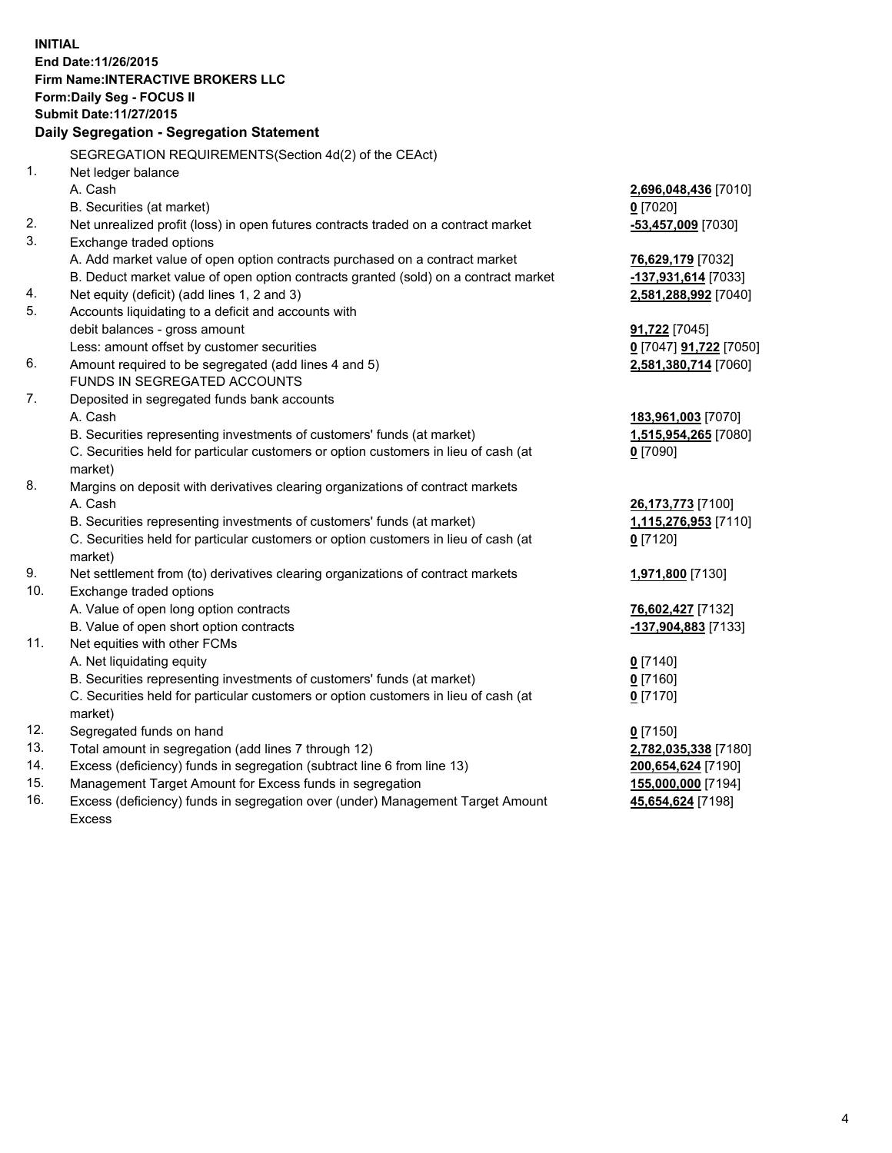**INITIAL End Date:11/26/2015 Firm Name:INTERACTIVE BROKERS LLC Form:Daily Seg - FOCUS II Submit Date:11/27/2015 Daily Segregation - Segregation Statement** SEGREGATION REQUIREMENTS(Section 4d(2) of the CEAct) 1. Net ledger balance A. Cash **2,696,048,436** [7010] B. Securities (at market) **0** [7020] 2. Net unrealized profit (loss) in open futures contracts traded on a contract market **-53,457,009** [7030] 3. Exchange traded options A. Add market value of open option contracts purchased on a contract market **76,629,179** [7032] B. Deduct market value of open option contracts granted (sold) on a contract market **-137,931,614** [7033] 4. Net equity (deficit) (add lines 1, 2 and 3) **2,581,288,992** [7040] 5. Accounts liquidating to a deficit and accounts with debit balances - gross amount **91,722** [7045] Less: amount offset by customer securities **0** [7047] **91,722** [7050] 6. Amount required to be segregated (add lines 4 and 5) **2,581,380,714** [7060] FUNDS IN SEGREGATED ACCOUNTS 7. Deposited in segregated funds bank accounts A. Cash **183,961,003** [7070] B. Securities representing investments of customers' funds (at market) **1,515,954,265** [7080] C. Securities held for particular customers or option customers in lieu of cash (at market) **0** [7090] 8. Margins on deposit with derivatives clearing organizations of contract markets A. Cash **26,173,773** [7100] B. Securities representing investments of customers' funds (at market) **1,115,276,953** [7110] C. Securities held for particular customers or option customers in lieu of cash (at market) **0** [7120] 9. Net settlement from (to) derivatives clearing organizations of contract markets **1,971,800** [7130] 10. Exchange traded options A. Value of open long option contracts **76,602,427** [7132] B. Value of open short option contracts **-137,904,883** [7133] 11. Net equities with other FCMs A. Net liquidating equity **0** [7140] B. Securities representing investments of customers' funds (at market) **0** [7160] C. Securities held for particular customers or option customers in lieu of cash (at market) **0** [7170] 12. Segregated funds on hand **0** [7150] 13. Total amount in segregation (add lines 7 through 12) **2,782,035,338** [7180] 14. Excess (deficiency) funds in segregation (subtract line 6 from line 13) **200,654,624** [7190] 15. Management Target Amount for Excess funds in segregation **155,000,000** [7194] **45,654,624** [7198]

16. Excess (deficiency) funds in segregation over (under) Management Target Amount Excess